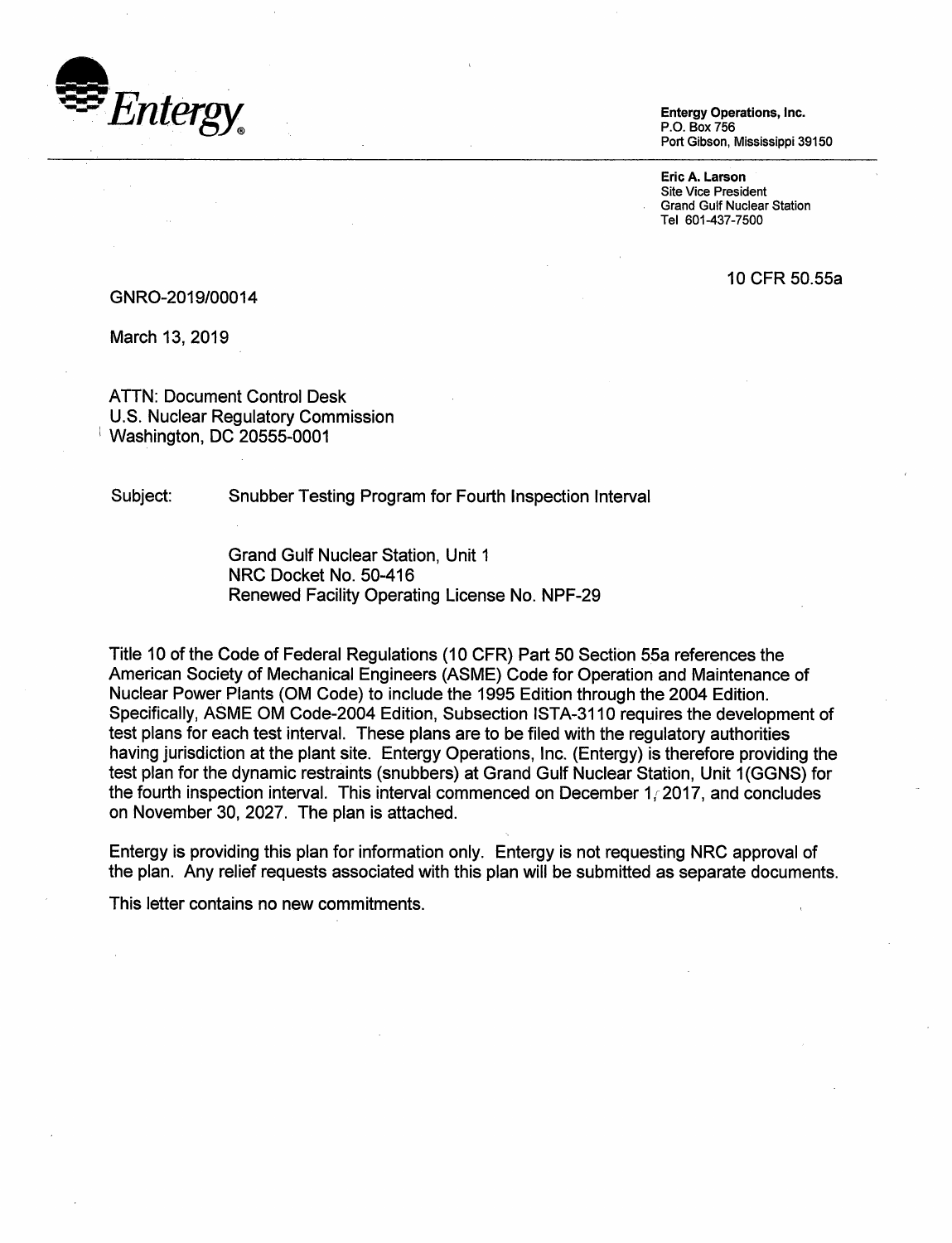

Entergy Operations, Inc. P.O. Box756 Port Gibson, Mississippi 39150

Eric A. Larson Site Vice President Grand Gulf Nuclear Station Tel 601-437-7500

10 CFR 50.55a

#### GNR0-2019/00014

March 13, 2019

ATTN: Document Control Desk U.S. Nuclear Regulatory Commission I Washington, DC 20555-0001

Subject: Snubber Testing Program for Fourth Inspection Interval

Grand Gulf Nuclear Station, Unit 1 NRC Docket No. 50-416 Renewed Facility Operating License No. NPF-29

Title 10 of the Code of Federal Regulations (10 CFR) Part 50 Section 55a references the American Society of Mechanical Engineers (ASME) Code for Operation and Maintenance of Nuclear Power Plants (OM Code) to include the 1995 Edition through the 2004 Edition. Specifically, ASME OM Code-2004 Edition, Subsection ISTA-3110 requires the development of test plans for each test interval. These plans are to be filed with the regulatory authorities having jurisdiction at the plant site. Entergy Operations, Inc. (Entergy) is therefore providing the test plan for the dynamic restraints (snubbers) at Grand Gulf Nuclear Station, Unit 1 (GGNS) for the fourth inspection interval. This interval commenced on December 1 *r* 2017, and concludes on November 30, 2027. The plan is attached.

Entergy is providing this plan for information only. Entergy is not requesting NRC approval of the plan. Any relief requests associated with this plan will be submitted as separate documents.

This letter contains no new commitments.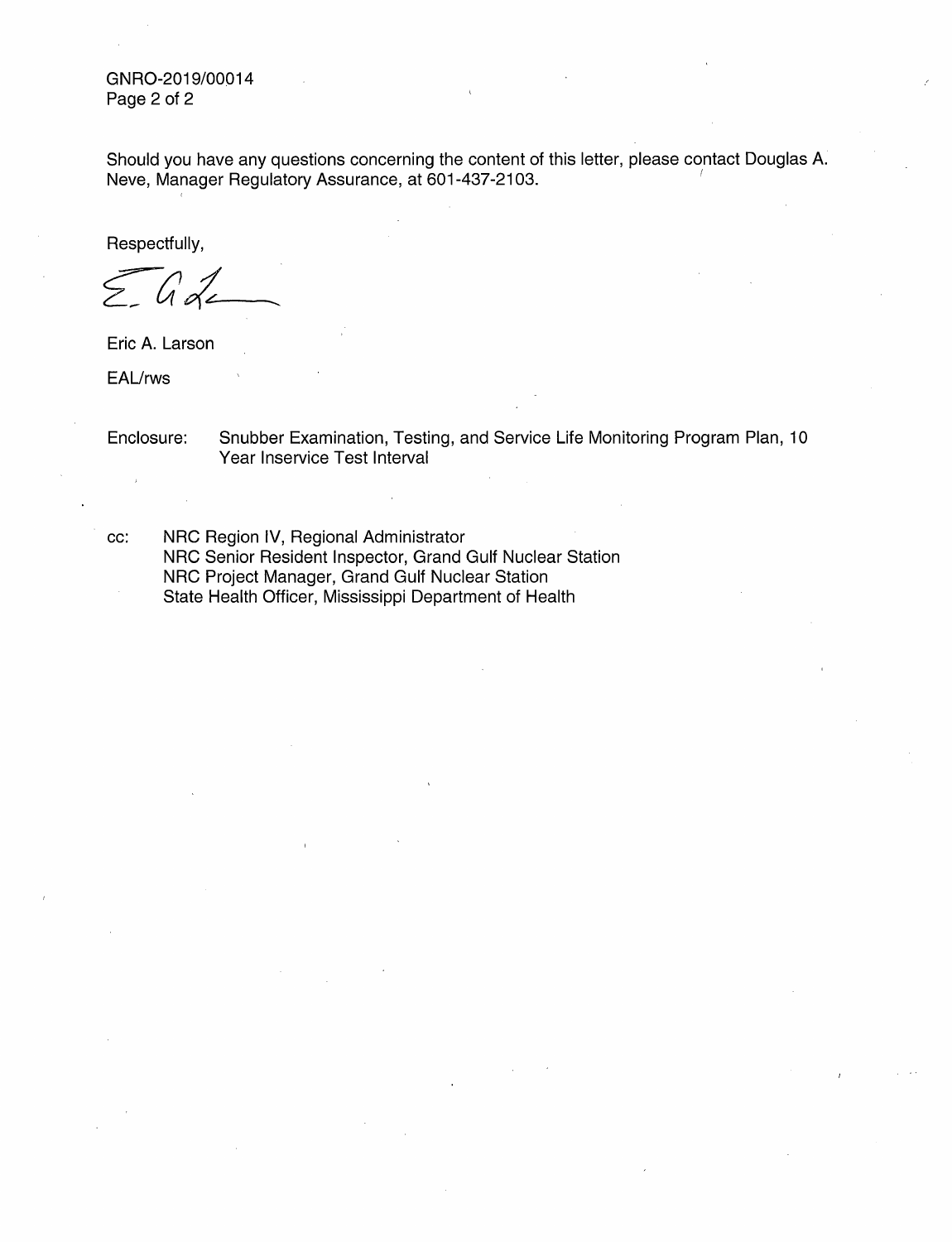GNR0-2019/00014 Page 2 of 2

Should you have any questions concerning the content of this letter, please contact Douglas A. Neve, Manager Regulatory Assurance, at 601-437-2103.

Respectfully,

Ô

Eric A. Larson

EAL/rws

Enclosure: Snubber Examination, Testing, and Service Life Monitoring Program Plan, 10 Year Inservice Test Interval

cc: NRC Region IV, Regional Administrator NRC Senior Resident Inspector, Grand Gulf Nuclear Station NRC Project Manager, Grand Gulf Nuclear Station State Health Officer, Mississippi Department of Health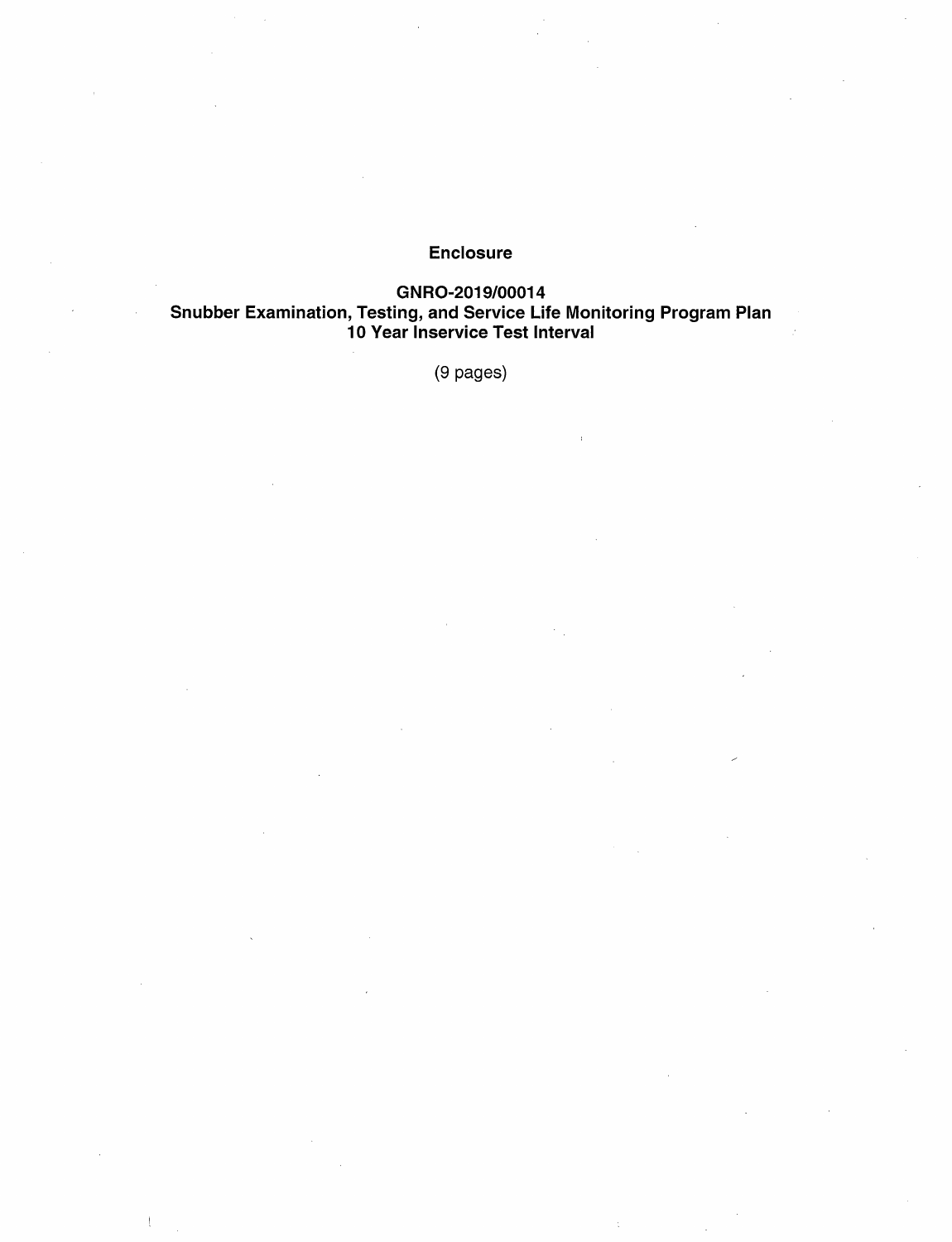# Enclosure

GNR0-2019/00014 Snubber Examination, Testing, and Service Life Monitoring Program Plan 10 Vear lnservice Test Interval

(9 pages)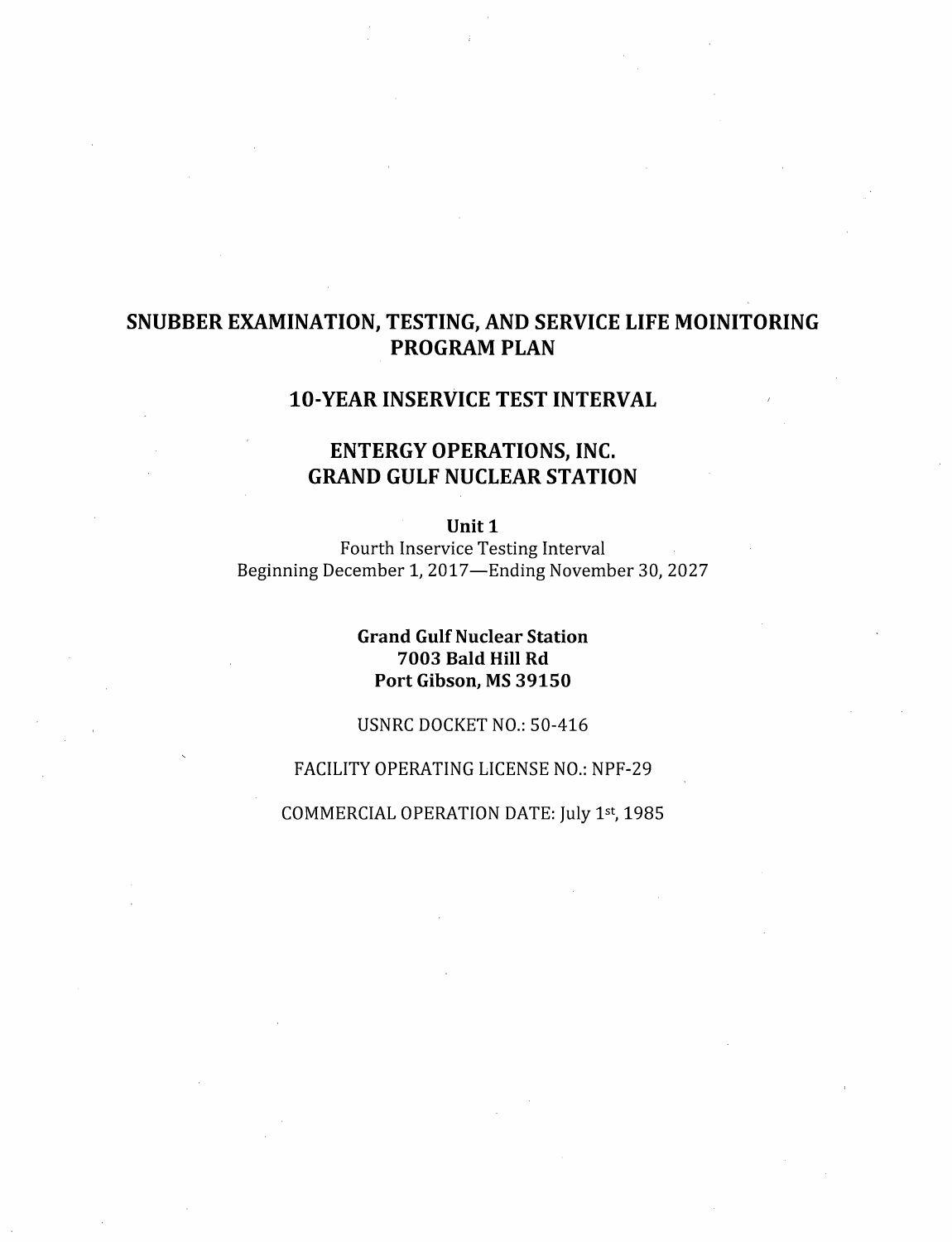# SNUBBER EXAMINATION, TESTING, AND SERVICE LIFE MOINITORING PROGRAM PLAN

# 10-YEAR INSERVICE TEST INTERVAL

# ENTERGY OPERATIONS, INC. GRAND GULF NUCLEAR STATION

Unit 1

Fourth Inservice Testing Interval Beginning December 1, 2017-Ending November 30, 2027

# Grand Gulf Nuclear Station 7003 Bald Hill Rd Port Gibson, MS 39150

USNRC DOCKET NO.: 50-416

# FACILITY OPERATING LICENSE NO.: NPF-29

COMMERCIAL OPERATION DATE: July 1st, 1985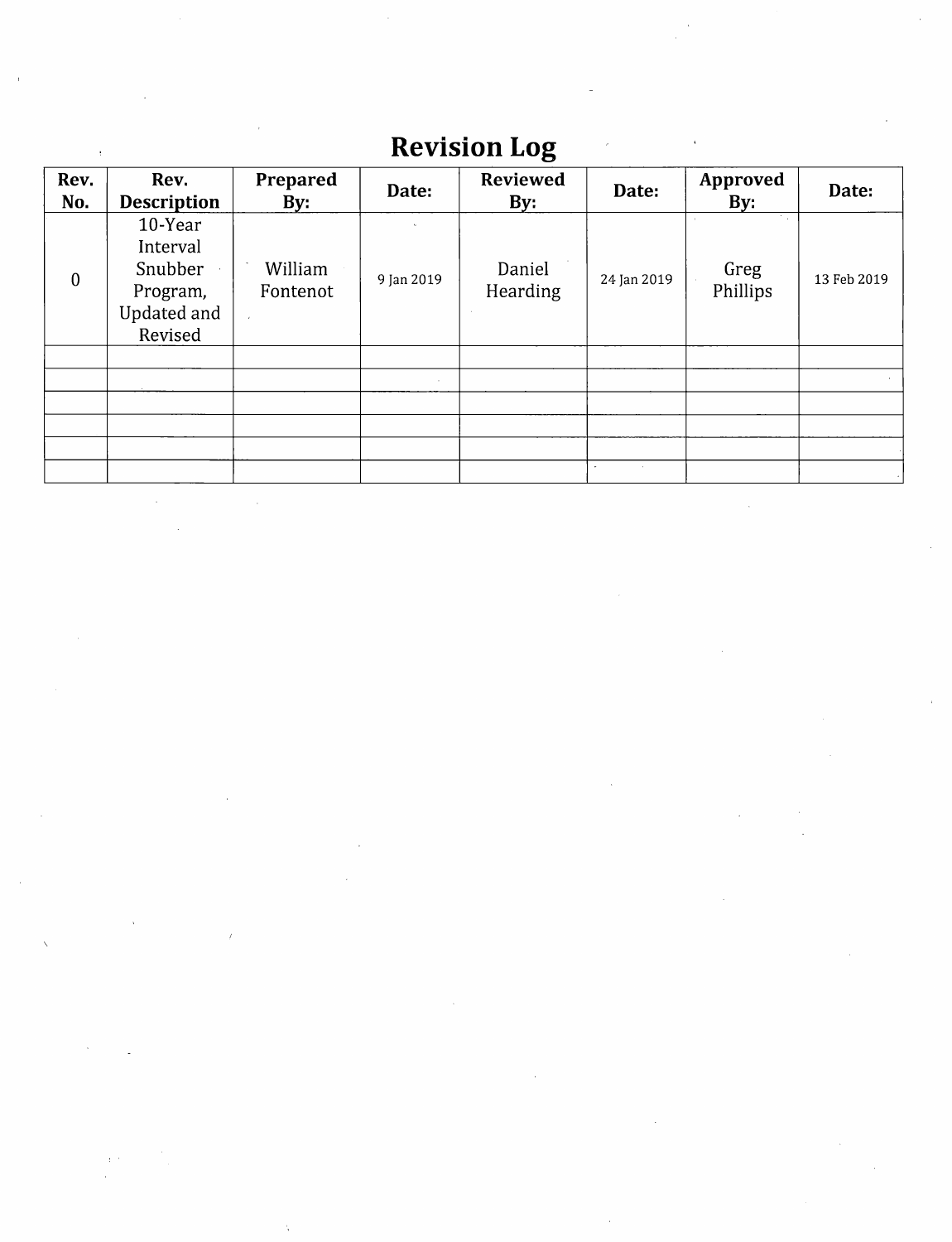# **Revision Log**

| Rev.<br>No.  | Rev.<br><b>Description</b>                                           | Prepared<br>By:     | Date:      | <b>Reviewed</b><br>By: | Date:       | <b>Approved</b><br>By: | Date:       |
|--------------|----------------------------------------------------------------------|---------------------|------------|------------------------|-------------|------------------------|-------------|
| $\mathbf{0}$ | 10-Year<br>Interval<br>Snubber<br>Program,<br>Updated and<br>Revised | William<br>Fontenot | 9 Jan 2019 | Daniel<br>Hearding     | 24 Jan 2019 | Greg<br>Phillips       | 13 Feb 2019 |
|              |                                                                      |                     |            |                        |             |                        |             |
|              |                                                                      |                     |            |                        |             |                        |             |
|              |                                                                      |                     |            |                        |             |                        |             |
|              |                                                                      |                     |            |                        |             |                        |             |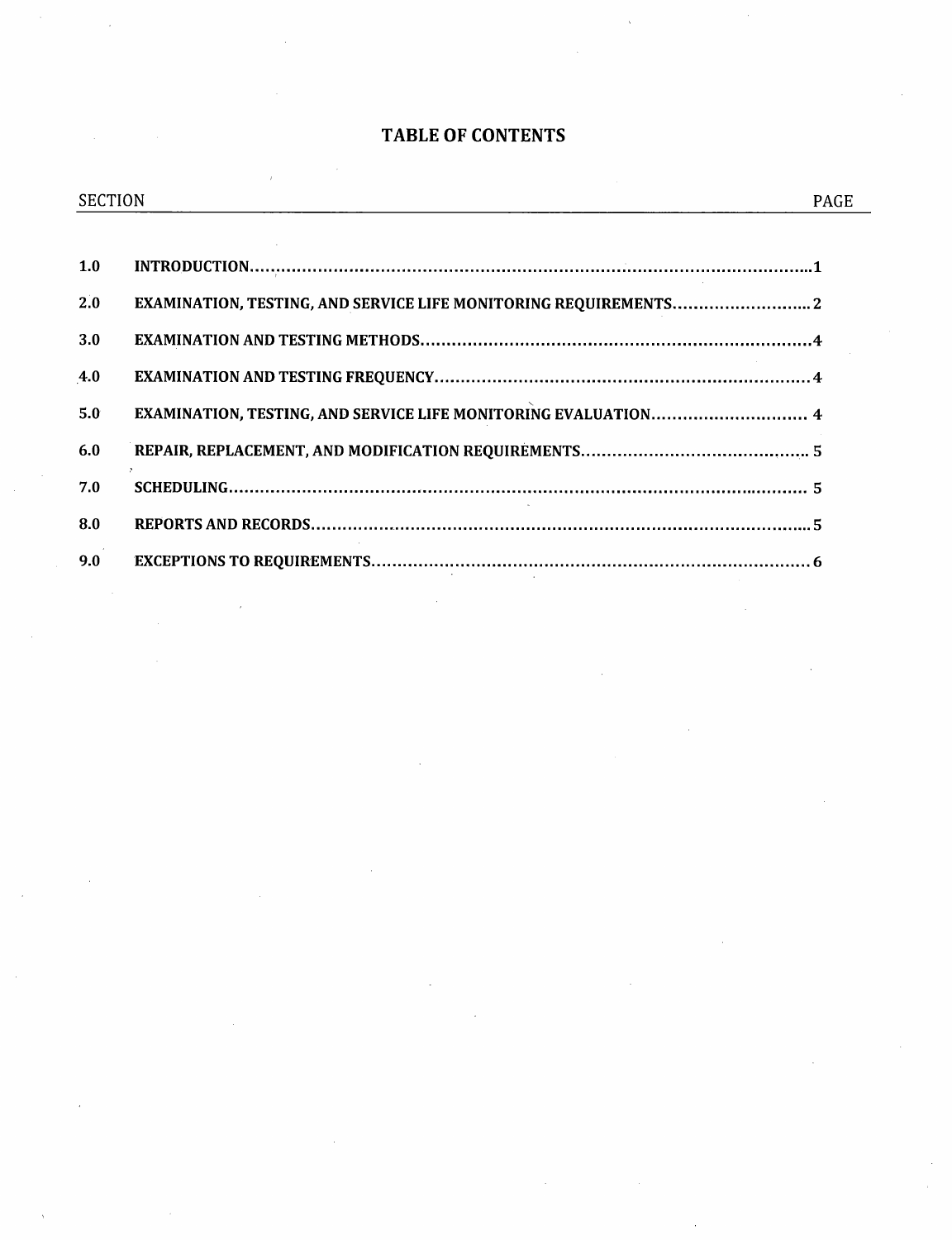# TABLE OF CONTENTS

| <b>SECTION</b> |                                                                  | <b>PAGE</b> |
|----------------|------------------------------------------------------------------|-------------|
| 1.0            |                                                                  |             |
| 2.0            | EXAMINATION, TESTING, AND SERVICE LIFE MONITORING REQUIREMENTS 2 |             |
| 3.0            |                                                                  |             |
| 4.0            |                                                                  |             |
| 5.0            | EXAMINATION, TESTING, AND SERVICE LIFE MONITORING EVALUATION 4   |             |
| 6.0            |                                                                  |             |
| 7.0            |                                                                  |             |
| 8.0            |                                                                  |             |
| 9.0            |                                                                  |             |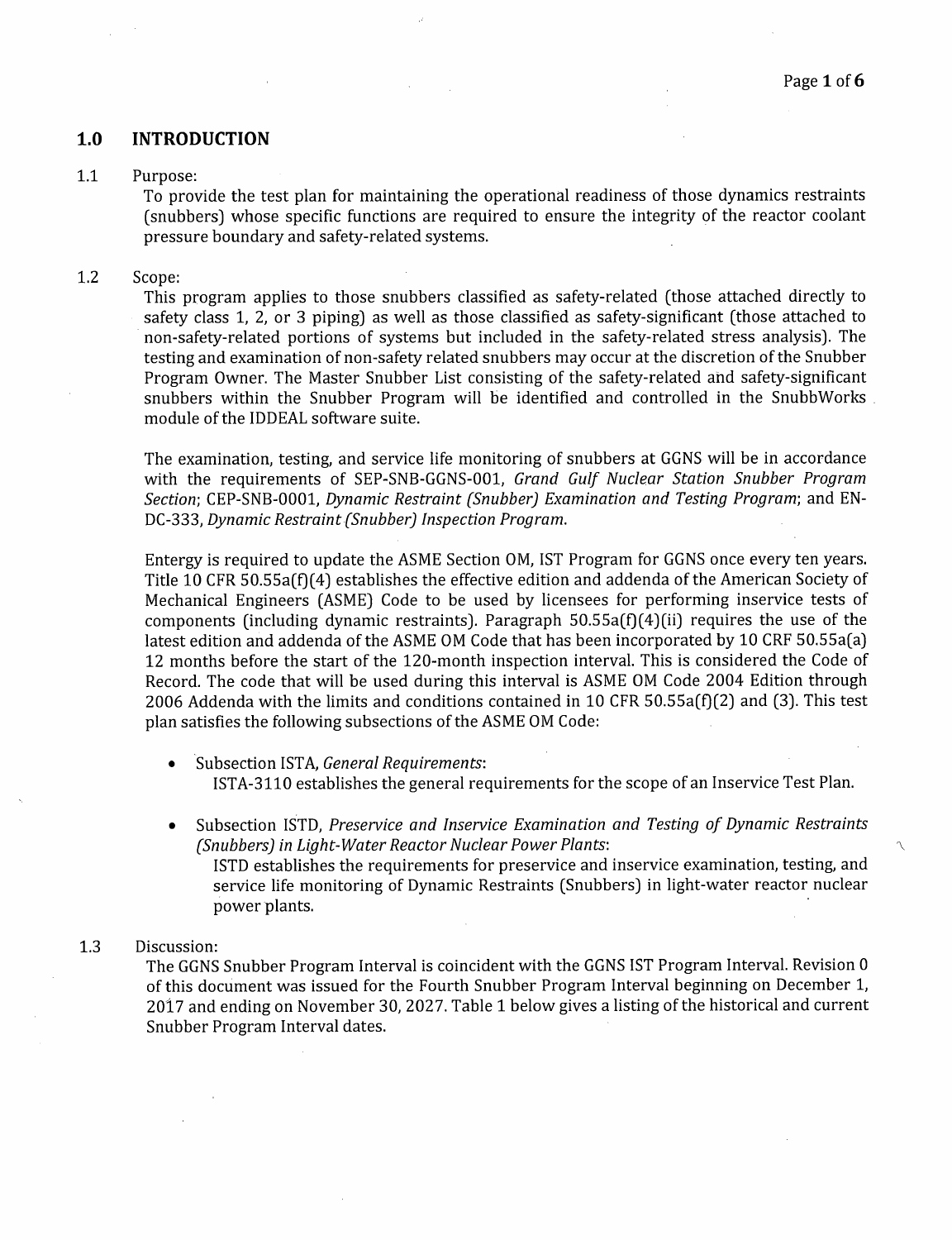## **1.0 INTRODUCTION**

#### 1.1 Purpose:

To provide the test plan for maintaining the operational readiness of those dynamics restraints (snubbers) whose specific functions are required to ensure the integrity of the reactor coolant pressure boundary and safety-related systems.

#### 1.2 Scope:

This program applies to those snubbers classified as safety-related (those attached directly to safety class 1, 2, or 3 piping) as well as those classified as safety-significant (those attached to non-safety-related portions of systems but included in the safety-related stress analysis). The testing and examination of non-safety related snubbers may occur at the discretion of the Snubber Program Owner. The Master Snubber List consisting of the safety-related ahd safety-significant snubbers within the Snubber Program will be identified and controlled in the SnubbWorks . module of the IDDEAL software suite.

The examination, testing, and service life monitoring of snubbers at GGNS will be in accordance with the requirements of SEP-SNB-GGNS-001, *Grand Gulf Nuclear Station Snubber Program Section;* CEP-SNB-0001, *Dynamic Restraint (Snubber) Examination and Testing Program;* and EN-DC-333, *Dynamic Restraint{Snubber) Inspection Program.* 

Entergy is required to update the ASME Section OM, IST Program for GGNS once every ten years. Title 10 CFR 50.55a(f)(4) establishes the effective edition and addenda of the American Society of Mechanical Engineers (ASME) Code to be used by licensees for performing inservice tests of components (including dynamic restraints). Paragraph  $50.55a(f)(4)(ii)$  requires the use of the latest edition and addenda of the ASME OM Code that has been incorporated by 10 CRF 50.55a(a) 12 months before the start of the 120-month inspection interval. This is considered the Code of Record. The code that will be used during this interval is ASME OM Code 2004 Edition through 2006 Addenda with the limits and conditions contained in 10 CFR 50.55a(f)(2) and (3). This test plan satisfies the following subsections of the ASME OM Code:

- Subsection ISTA, *General Requirements*: ISTA-3110 establishes the general requirements for the scope of an Inservice Test Plan.
- Subsection ISTD, *Preservice and Inservice Examination and Testing of Dynamic Restraints (Snubbers) in Light-Water Reactor Nuclear Power Plants:* '\ ISTD establishes the requirements for preservice and inservice examination, testing, and service life monitoring of Dynamic Restraints (Snubbers) in light-water reactor nuclear power plants.

#### 1.3 Discussion:

The GGNS Snubber Program Interval is coincident with the GGNS IST Program Interval. Revision <sup>O</sup> of this document was issued for the Fourth Snubber Program Interval beginning on December 1, 2017 and ending on November 30, 2027. Table 1 below gives a listing of the historical and current Snubber Program Interval dates.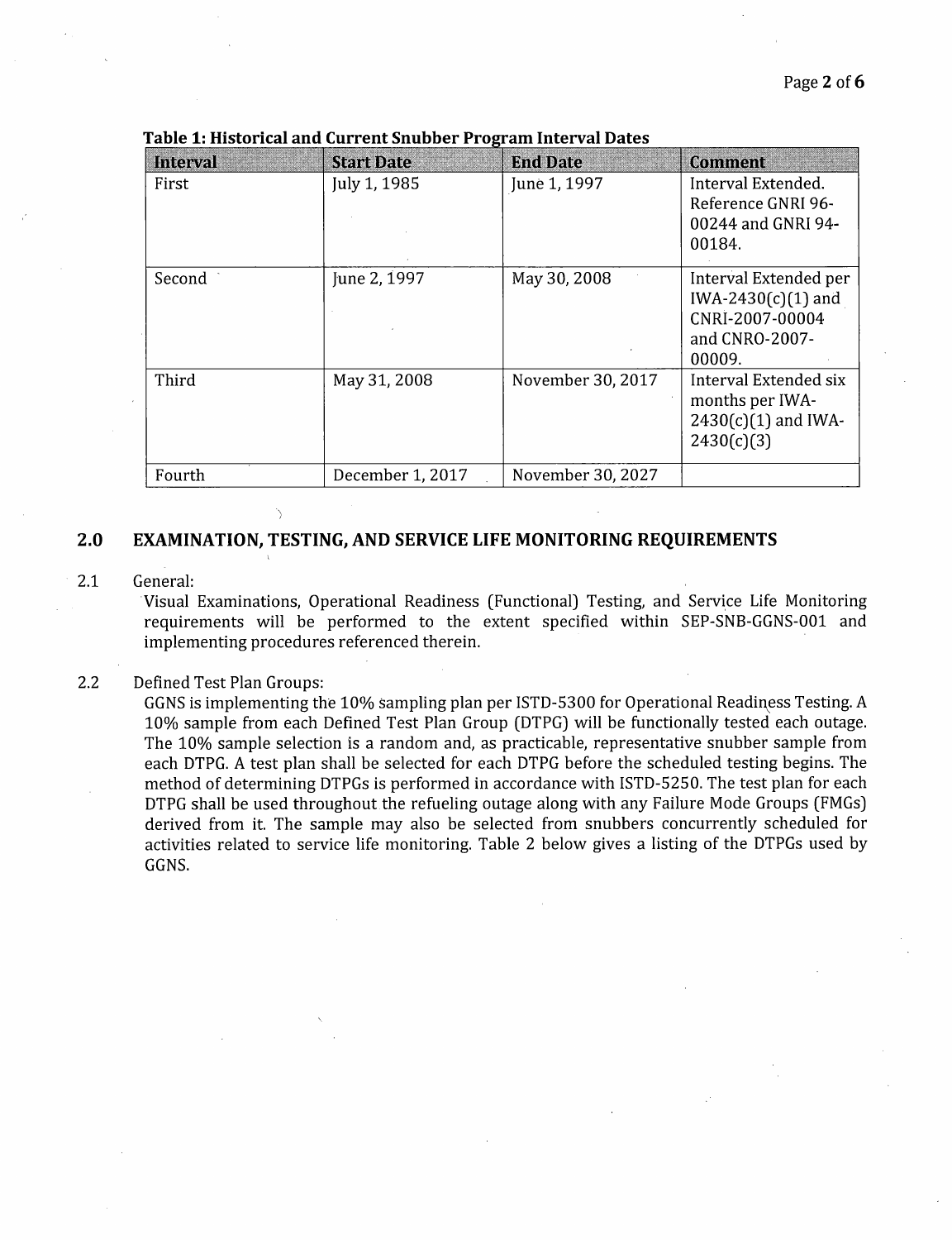| <b>Interval</b> | <b>Start Date</b> | <b>End Date</b>   | <b>Comment</b>                                                                               |
|-----------------|-------------------|-------------------|----------------------------------------------------------------------------------------------|
| First           | July 1, 1985      | June 1, 1997      | Interval Extended.<br>Reference GNRI 96-<br>00244 and GNRI 94-<br>00184.                     |
| Second          | June 2, 1997      | May 30, 2008      | Interval Extended per<br>$IWA-2430(c)(1)$ and<br>CNRI-2007-00004<br>and CNRO-2007-<br>00009. |
| Third           | May 31, 2008      | November 30, 2017 | Interval Extended six<br>months per IWA-<br>$2430(c)(1)$ and IWA-<br>2430(c)(3)              |
| Fourth          | December 1, 2017  | November 30, 2027 |                                                                                              |

**Table 1: Historical and Current Snubber Program Interval Dates** 

## **2.0 EXAMINATION, TESTING, AND SERVICE LIFE MONITORING REQUIREMENTS**

#### 2.1 General:

Visual Examinations, Operational Readiness (Functional) Testing, and Service Life Monitoring requirements will be performed to the extent specified within SEP-SNB-GGNS-001 and implementing procedures referenced therein.

#### 2.2 Defined Test Plan Groups:

GGNS is implementing the 10% sampling plan per ISTD-5300 for Operational Readiness Testing. A 10% sample from each Defined Test Plan Group (DTPG) will be functionally tested each outage. The 10% sample selection is a random and, as practicable, representative snubber sample from each DTPG. A test plan shall be selected for each DTPG before the scheduled testing begins. The method of determining DTPGs is performed in accordance with ISTD-5250. The test plan for each DTPG shall be used throughout the refueling outage along with any Failure Mode Groups (FMGs) derived from it. The sample may also be selected from snubbers concurrently scheduled for activities related to service life monitoring. Table 2 below gives a listing of the DTPGs used by GGNS.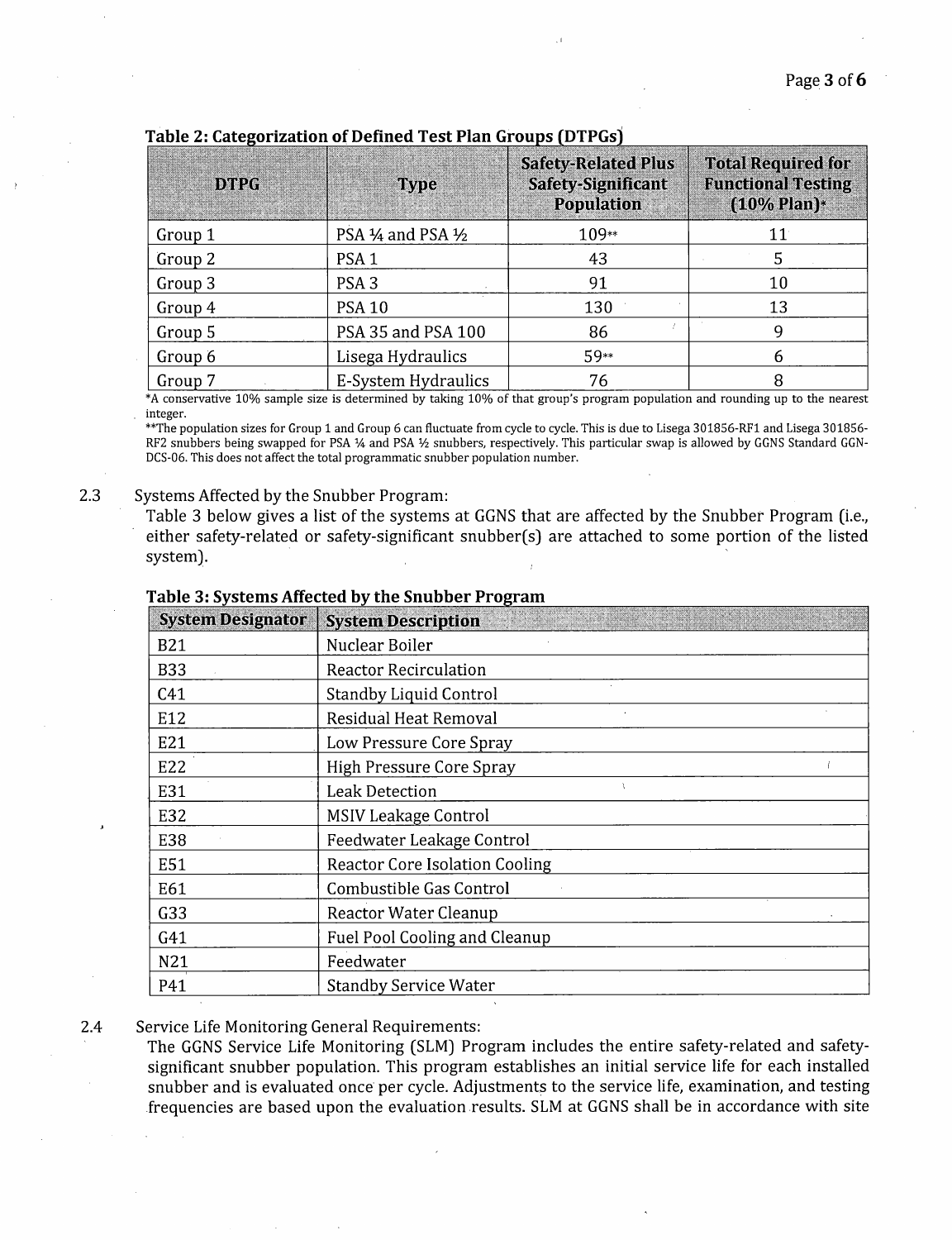| <b>DTPG</b> | Type                | <b>Safety-Related Plus</b><br><b>Safety-Significant</b><br><b>Population</b> | <b>Total Required for</b><br><b>Functional Testing</b><br>$(10%$ Plan)* |
|-------------|---------------------|------------------------------------------------------------------------------|-------------------------------------------------------------------------|
| Group 1     | PSA 1/4 and PSA 1/2 | 109**                                                                        | $11^{\circ}$                                                            |
| Group 2     | PSA <sub>1</sub>    | 43                                                                           |                                                                         |
| Group 3     | PSA <sub>3</sub>    | 91                                                                           | 10                                                                      |
| Group 4     | <b>PSA 10</b>       | 130                                                                          | 13                                                                      |
| Group 5     | PSA 35 and PSA 100  | 86                                                                           |                                                                         |
| Group 6     | Lisega Hydraulics   | 59**                                                                         | h                                                                       |
| Group 7     | E-System Hydraulics | 76                                                                           |                                                                         |

Table 2: Categorization of Defined Test Plan Groups (DTPGs)

\*A conservative 10% sample size is determined by taking 10% of that group's program population and rounding up to the nearest integer.

\*\*The population sizes for Group 1 and Group 6 can fluctuate from cycle to cycle. This is due to Lisega 301856-RFl and Lisega 301856- RF2 snubbers being swapped for PSA ¼ and PSA ½ snubbers, respectively. This particular swap is allowed by GGNS Standard GGN-DCS-06. This does not affect the total programmatic snubber population number.

#### 2.3 Systems Affected by the Snubber Program:

Table 3 below gives a list of the systems at GGNS that are affected by the Snubber Program (i.e., either safety-related or safety-significant snubber(s) are attached to some portion of the listed system).

| <b>System Designator</b> | <u> The Common Second Common Second Common Second Common Second Common Second Common Second Common Second Common Second</u><br><b>System Description</b> |  |
|--------------------------|----------------------------------------------------------------------------------------------------------------------------------------------------------|--|
| <b>B21</b>               | Nuclear Boiler                                                                                                                                           |  |
| <b>B33</b>               | <b>Reactor Recirculation</b>                                                                                                                             |  |
| C <sub>41</sub>          | <b>Standby Liquid Control</b>                                                                                                                            |  |
| E12                      | Residual Heat Removal                                                                                                                                    |  |
| E21                      | Low Pressure Core Spray                                                                                                                                  |  |
| E22                      | <b>High Pressure Core Spray</b>                                                                                                                          |  |
| E31                      | <b>Leak Detection</b>                                                                                                                                    |  |
| E32                      | <b>MSIV Leakage Control</b>                                                                                                                              |  |
| E38                      | Feedwater Leakage Control                                                                                                                                |  |
| E51                      | <b>Reactor Core Isolation Cooling</b>                                                                                                                    |  |
| E61                      | Combustible Gas Control                                                                                                                                  |  |
| G33                      | Reactor Water Cleanup                                                                                                                                    |  |
| G41                      | Fuel Pool Cooling and Cleanup                                                                                                                            |  |
| N21                      | Feedwater                                                                                                                                                |  |
| P41                      | <b>Standby Service Water</b>                                                                                                                             |  |

#### Table 3: Systems Affected by the Snubber Program

#### 2.4 Service Life Monitoring General Requirements:

The GGNS Service Life Monitoring (SLM) Program includes the entire safety-related and safetysignificant snubber population. This program establishes an initial service life for each installed snubber and is evaluated once per cycle. Adjustments to the service life, examination, and testing frequencies are based upon the evaluation results. SLM at GGNS shall be in accordance with site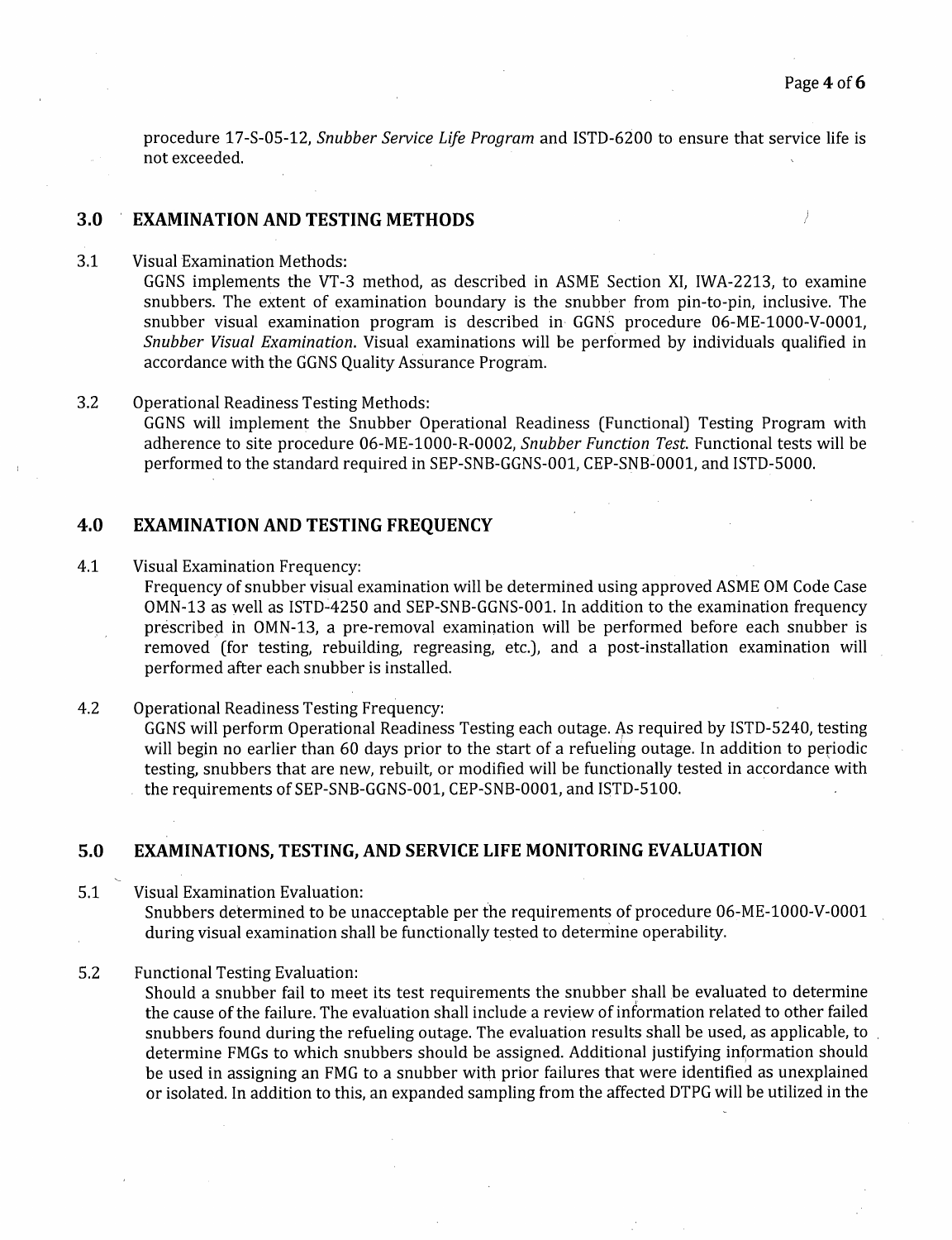procedure 17-S-05-12, *Snubber Service Life Program* and ISTD-6200 to ensure that service life is not exceeded.

## **3.0 EXAMINATION AND TESTING METHODS**

3.1 Visual Examination Methods:

GGNS implements the VT-3 method, as described in ASME Section XI, IWA-2213, to examine snubbers. The extent of examination boundary is the snubber from pin-to-pin, inclusive. The snubber visual examination program is described in· GGNS procedure 06-ME-1000-V-0001, *Snubber Visual Examination.* Visual examinations will be performed by individuals qualified in accordance with the GGNS Quality Assurance Program.

3.2 Operational Readiness Testing Methods: GGNS will implement the Snubber Operational Readiness (Functional) Testing Program with adherence to site procedure 06-ME-1000-R-0002, *Snubber Function Test.* Functional tests will be performed to the standard required in SEP-SNB-GGNS-001, CEP-SNB~0001, and ISTD-5000.

# **4.0 EXAMINATION AND TESTING FREQUENCY**

4.1 Visual Examination Frequency:

Frequency of snubber visual examination will be determined using approved ASME OM Code Case OMN-13 as well as ISTD-4250 and SEP-SNB-GGNS-001. In addition to the examination frequency prescribed in OMN-13, a pre-removal examination will be performed before each snubber is removed (for testing, rebuilding, regreasing, etc.), and a post-installation examination will performed after each snubber is installed.

4.2 Operational Readiness Testing Frequency: GGNS will perform Operational Readiness Testing each outage. As required by ISTD-5240, testing will begin no earlier than 60 days prior to the start of a refueling outage. In addition to periodic testing, snubbers that are new, rebuilt, or modified will be functionally tested in accordance with the requirements of SEP-SNB-GGNS-001, CEP-SNB-0001, and ISTD-5100.

## **5.0 EXAMINATIONS, TESTING, AND SERVICE LIFE MONITORING EVALUATION**

5.1 Visual Examination Evaluation: Snubbers determined to be unacceptable per the requirements of procedure 06-ME-1000-V-0001 during visual examination shall be functionally tested to determine operability.

5.2 Functional Testing Evaluation:

Should a snubber fail to meet its test requirements the snubber shall be evaluated to determine the cause of the failure. The evaluation shall include a review of information related to other failed snubbers found during the refueling outage. The evaluation results shall be used, as applicable, to determine FMGs to which snubbers should be assigned. Additional justifying information should be used in assigning an FMG to a snubber with prior failures that were identified as unexplained or isolated. In addition to this, an expanded sampling from the affected DTPG will be utilized in the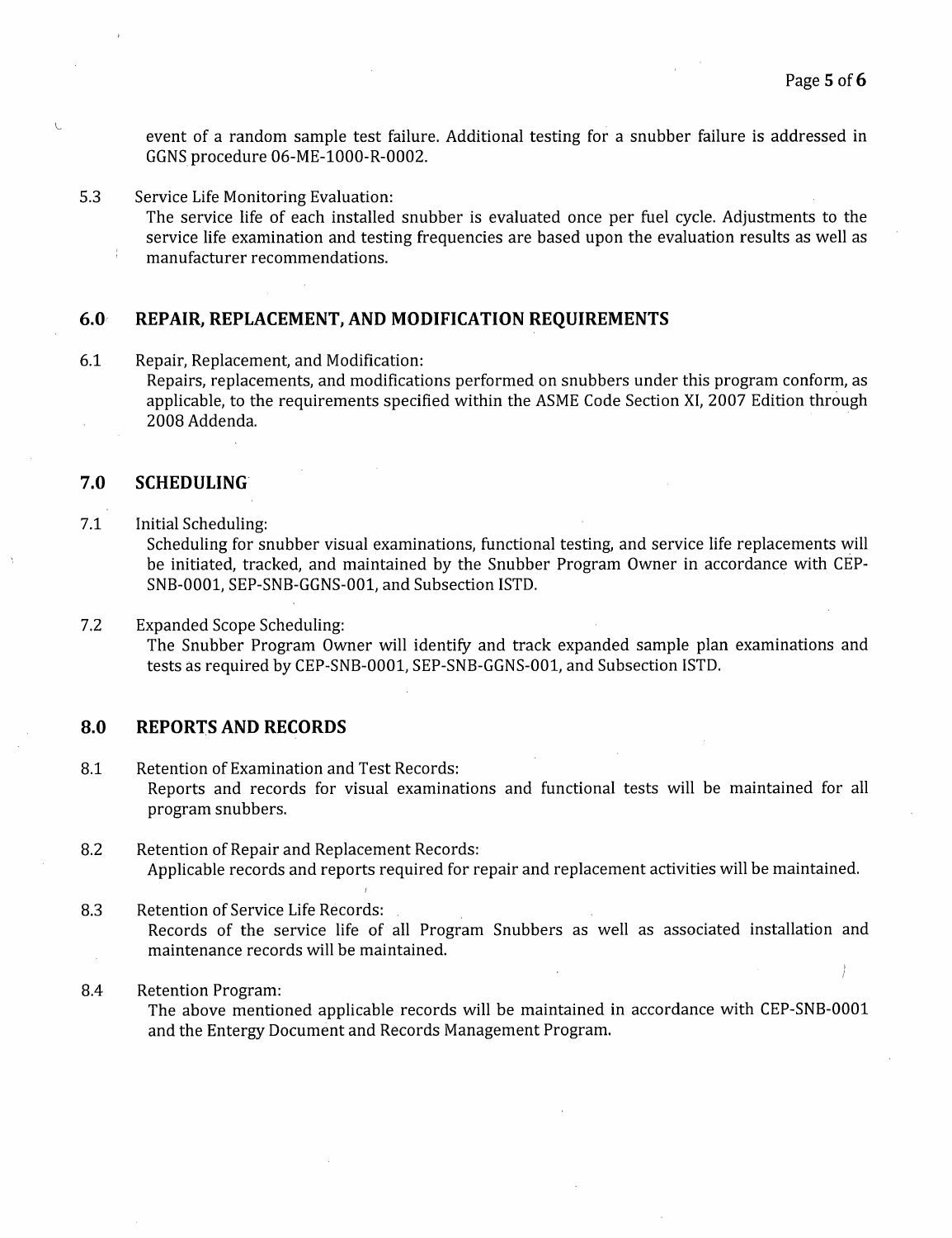event of a random sample test failure. Additional testing for a snubber failure is addressed in GGNS procedure 06-ME-1000-R-0002.

5.3 Service Life Monitoring Evaluation:

The service life of each installed snubber is evaluated once per fuel cycle. Adjustments to the service life examination and testing frequencies are based upon the evaluation results as well as manufacturer recommendations.

#### **6.0, REPAIR, REPLACEMENT, AND MODIFICATION REQUIREMENTS**

6.1 Repair, Replacement, and Modification: Repairs, replacements, and modifications performed on snubbers under this program conform, as applicable, to the requirements specified within the ASME Code Section XI, 2007 Edition through 2008 Addenda.

#### **7.0 SCHEDULING'**

 $\mathbf{V}$ 

7.1 Initial Scheduling:

Scheduling for snubber visual examinations, functional testing, and service life replacements will be initiated, tracked, and maintained by the Snubber Program Owner in accordance with CEP-SNB-0001, SEP-SNB-GGNS-001, and Subsection ISTD.

7.2 Expanded Scope Scheduling: The Snubber Program Owner will identify and track expanded sample plan examinations and tests as required by CEP-SNB-0001, SEP-SNB-GGNS-001, and Subsection ISTD.

## **8.0 REPORTS AND RECORDS**

- 8.1 Retention of Examination and Test Records: Reports and records for visual examinations and functional tests will be maintained for all program snubbers.
- 8.2 Retention of Repair and Replacement Records: Applicable records and reports required for repair and replacement activities will be maintained.
- 8.3 Retention of Service Life Records: Records of the service life of all Program Snubbers as well as associated installation and maintenance records will be maintained.

#### 8.4 Retention Program:

The above mentioned applicable records will be maintained in accordance with CEP-SNB-0001 and the Entergy Document and Records Management Program.